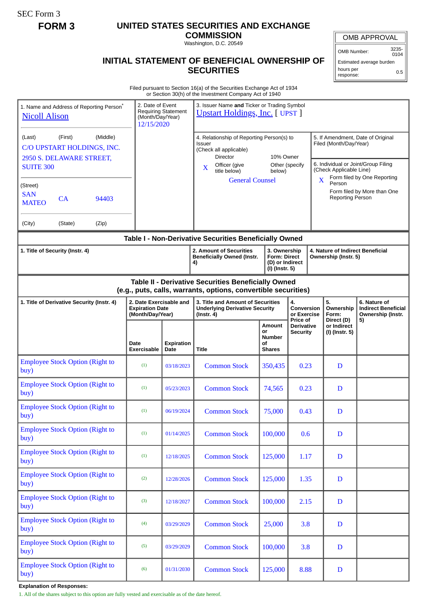SEC Form 3

# **FORM 3 UNITED STATES SECURITIES AND EXCHANGE**

**COMMISSION** Washington, D.C. 20549

### OMB APPROVAL

OMB Number: 3235- 0104

Estimated average burden hours per response: 0.5

## **INITIAL STATEMENT OF BENEFICIAL OWNERSHIP OF SECURITIES**

Filed pursuant to Section 16(a) of the Securities Exchange Act of 1934 or Section 30(h) of the Investment Company Act of 1940

| 1. Name and Address of Reporting Person <sup>*</sup><br><b>Nicoll Alison</b>                                          | 2. Date of Event<br><b>Requiring Statement</b><br>(Month/Day/Year)<br>12/15/2020 |                           | 3. Issuer Name and Ticker or Trading Symbol<br><b>Upstart Holdings, Inc. [ UPST ]</b>                                                                                                  |                                                                          |                                             |                                                                                                                                                              |                                                                 |  |
|-----------------------------------------------------------------------------------------------------------------------|----------------------------------------------------------------------------------|---------------------------|----------------------------------------------------------------------------------------------------------------------------------------------------------------------------------------|--------------------------------------------------------------------------|---------------------------------------------|--------------------------------------------------------------------------------------------------------------------------------------------------------------|-----------------------------------------------------------------|--|
| (Middle)<br>(Last)<br>(First)<br>C/O UPSTART HOLDINGS, INC.<br>2950 S. DELAWARE STREET,<br><b>SUITE 300</b>           |                                                                                  |                           | 4. Relationship of Reporting Person(s) to<br><b>Issuer</b><br>(Check all applicable)<br><b>Director</b><br>10% Owner<br>Other (specify<br>Officer (give<br>X<br>title below)<br>below) |                                                                          |                                             | 5. If Amendment, Date of Original<br>Filed (Month/Day/Year)<br>6. Individual or Joint/Group Filing<br>(Check Applicable Line)<br>Form filed by One Reporting |                                                                 |  |
| (Street)<br><b>SAN</b><br>CA<br>94403<br><b>MATEO</b>                                                                 |                                                                                  |                           | <b>General Counsel</b>                                                                                                                                                                 |                                                                          |                                             | X<br>Person<br><b>Reporting Person</b>                                                                                                                       | Form filed by More than One                                     |  |
| (City)<br>(State)<br>(Zip)                                                                                            |                                                                                  |                           |                                                                                                                                                                                        |                                                                          |                                             |                                                                                                                                                              |                                                                 |  |
| Table I - Non-Derivative Securities Beneficially Owned                                                                |                                                                                  |                           |                                                                                                                                                                                        |                                                                          |                                             |                                                                                                                                                              |                                                                 |  |
| 1. Title of Security (Instr. 4)                                                                                       |                                                                                  |                           | 2. Amount of Securities<br><b>Beneficially Owned (Instr.</b><br>4)                                                                                                                     | 3. Ownership<br><b>Form: Direct</b><br>(D) or Indirect<br>(I) (Instr. 5) |                                             | Ownership (Instr. 5)                                                                                                                                         | 4. Nature of Indirect Beneficial                                |  |
| Table II - Derivative Securities Beneficially Owned<br>(e.g., puts, calls, warrants, options, convertible securities) |                                                                                  |                           |                                                                                                                                                                                        |                                                                          |                                             |                                                                                                                                                              |                                                                 |  |
| 2. Date Exercisable and<br>1. Title of Derivative Security (Instr. 4)<br><b>Expiration Date</b><br>(Month/Day/Year)   |                                                                                  |                           | 3. Title and Amount of Securities<br><b>Underlying Derivative Security</b><br>$($ lnstr. 4 $)$                                                                                         |                                                                          | 4.<br>Conversion<br>or Exercise<br>Price of | 5.<br>Ownership<br>Form:                                                                                                                                     | 6. Nature of<br><b>Indirect Beneficial</b><br>Ownership (Instr. |  |
|                                                                                                                       | Date<br>Exercisable                                                              | <b>Expiration</b><br>Date | Title                                                                                                                                                                                  | Amount<br>or<br><b>Number</b><br>οf<br><b>Shares</b>                     | <b>Derivative</b><br>Security               | Direct (D)<br>or Indirect<br>(I) (Instr. 5)                                                                                                                  | 5)                                                              |  |
| <b>Employee Stock Option (Right to</b><br>buy)                                                                        | (1)                                                                              | 03/18/2023                | <b>Common Stock</b>                                                                                                                                                                    | 350,435                                                                  | 0.23                                        | D                                                                                                                                                            |                                                                 |  |
| <b>Employee Stock Option (Right to</b><br>buy)                                                                        | (1)                                                                              | 05/23/2023                | <b>Common Stock</b>                                                                                                                                                                    | 74,565                                                                   | 0.23                                        | D                                                                                                                                                            |                                                                 |  |
| <b>Employee Stock Option (Right to</b><br>buy)                                                                        | (1)                                                                              | 06/19/2024                | <b>Common Stock</b>                                                                                                                                                                    | 75,000                                                                   | 0.43                                        | D                                                                                                                                                            |                                                                 |  |
| <b>Employee Stock Option (Right to</b><br>buy)                                                                        | (1)                                                                              | 01/14/2025                | <b>Common Stock</b>                                                                                                                                                                    | 100,000                                                                  | 0.6                                         | D                                                                                                                                                            |                                                                 |  |
| <b>Employee Stock Option (Right to</b><br>buy)                                                                        | (1)                                                                              | 12/18/2025                | <b>Common Stock</b>                                                                                                                                                                    | 125,000                                                                  | 1.17                                        | D                                                                                                                                                            |                                                                 |  |
| <b>Employee Stock Option (Right to</b><br>buy)                                                                        | (2)                                                                              | 12/28/2026                | <b>Common Stock</b>                                                                                                                                                                    | 125,000                                                                  | 1.35                                        | $\mathbf D$                                                                                                                                                  |                                                                 |  |
| <b>Employee Stock Option (Right to</b><br>buy)                                                                        | (3)                                                                              | 12/18/2027                | <b>Common Stock</b>                                                                                                                                                                    | 100,000                                                                  | 2.15                                        | $\mathbf D$                                                                                                                                                  |                                                                 |  |
| <b>Employee Stock Option (Right to</b><br>buy)                                                                        | (4)                                                                              | 03/29/2029                | <b>Common Stock</b>                                                                                                                                                                    | 25,000                                                                   | 3.8                                         | D                                                                                                                                                            |                                                                 |  |
| <b>Employee Stock Option (Right to</b><br>buy)                                                                        | (5)                                                                              | 03/29/2029                | <b>Common Stock</b>                                                                                                                                                                    | 100,000                                                                  | 3.8                                         | $\mathbf D$                                                                                                                                                  |                                                                 |  |
| <b>Employee Stock Option (Right to</b><br>buy)                                                                        | (6)                                                                              | 01/31/2030                | <b>Common Stock</b>                                                                                                                                                                    | 125,000                                                                  | 8.88                                        | $\mathbf D$                                                                                                                                                  |                                                                 |  |

**Explanation of Responses:**

1. All of the shares subject to this option are fully vested and exercisable as of the date hereof.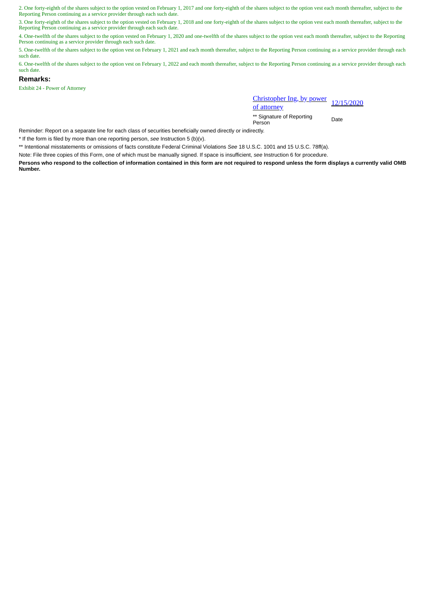2. One forty-eighth of the shares subject to the option vested on February 1, 2017 and one forty-eighth of the shares subject to the option vest each month thereafter, subject to the Reporting Person continuing as a service provider through each such date.

3. One forty-eighth of the shares subject to the option vested on February 1, 2018 and one forty-eighth of the shares subject to the option vest each month thereafter, subject to the Reporting Person continuing as a service provider through each such date.

4. One-twelfth of the shares subject to the option vested on February 1, 2020 and one-twelfth of the shares subject to the option vest each month thereafter, subject to the Reporting Person continuing as a service provider through each such date.

5. One-twelfth of the shares subject to the option vest on February 1, 2021 and each month thereafter, subject to the Reporting Person continuing as a service provider through each such date.

6. One-twelfth of the shares subject to the option vest on February 1, 2022 and each month thereafter, subject to the Reporting Person continuing as a service provider through each such date.

#### **Remarks:**

Exhibit 24 - Power of Attorney

Christopher Ing, by power <u>Christopher ing, by power</u> 12/15/2020<br>of attorney

\*\* Signature of Reporting Person Date

Reminder: Report on a separate line for each class of securities beneficially owned directly or indirectly.

\* If the form is filed by more than one reporting person, *see* Instruction 5 (b)(v).

\*\* Intentional misstatements or omissions of facts constitute Federal Criminal Violations *See* 18 U.S.C. 1001 and 15 U.S.C. 78ff(a).

Note: File three copies of this Form, one of which must be manually signed. If space is insufficient, *see* Instruction 6 for procedure.

**Persons who respond to the collection of information contained in this form are not required to respond unless the form displays a currently valid OMB Number.**